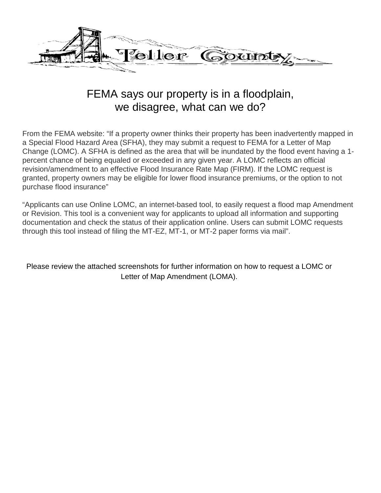

# FEMA says our property is in a floodplain, we disagree, what can we do?

From the FEMA website: "If a property owner thinks their property has been inadvertently mapped in a Special Flood Hazard Area (SFHA), they may submit a request to FEMA for a Letter of Map Change (LOMC). A SFHA is defined as the area that will be inundated by the flood event having a 1 percent chance of being equaled or exceeded in any given year. A LOMC reflects an official revision/amendment to an effective Flood Insurance Rate Map (FIRM). If the LOMC request is granted, property owners may be eligible for lower flood insurance premiums, or the option to not purchase flood insurance"

"Applicants can use Online LOMC, an internet-based tool, to easily request a flood map Amendment or Revision. This tool is a convenient way for applicants to upload all information and supporting documentation and check the status of their application online. Users can submit LOMC requests through this tool instead of filing the MT-EZ, MT-1, or MT-2 paper forms via mail".

Please review the attached screenshots for further information on how to request a LOMC or Letter of Map Amendment (LOMA).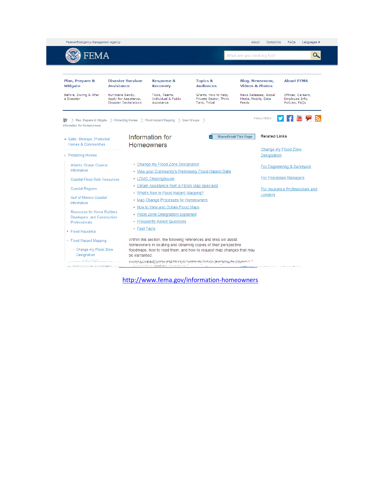| FEMA                                                                          |                                                                                      |                                                                                                                                  |                                                               | What are you looking for?                                            | $\alpha$                                              |
|-------------------------------------------------------------------------------|--------------------------------------------------------------------------------------|----------------------------------------------------------------------------------------------------------------------------------|---------------------------------------------------------------|----------------------------------------------------------------------|-------------------------------------------------------|
| Plan, Prepare &<br><b>Mitigate</b>                                            | <b>Disaster Survivor</b><br><b>Assistance</b>                                        | <b>Response &amp;</b><br><b>Recovery</b>                                                                                         | <b>Topics &amp;</b><br><b>Audiences</b>                       | <b>Blog, Newsroom,</b><br><b>Videos &amp; Photos</b>                 | <b>About FEMA</b>                                     |
| Before, During & After<br>a Disaster                                          | Hurricane Sandy,<br>Apply for Assistance,<br><b>Disaster Declarations</b>            | Tools, Teams,<br><b>Individual &amp; Public</b><br>Assistance                                                                    | Grants, How to Help,<br>Private Sector, Think<br>Tank, Tribal | News Releases, Social<br>Media, Mobile, Data<br>Feeds                | Offices, Careers,<br>Employee Info,<br>Policies, FAOs |
| Information for Homeowners<br>Safer, Stronger, Protected                      | > Plan, Prepare & Mitigate > Protecting Homes > Flood Hazard Mapping > User Groups > | Information for                                                                                                                  |                                                               | Follow FEMA:<br><b>Related Links</b><br><b>Share/Email This Page</b> |                                                       |
| Homes & Communities<br>+ Protecting Homes                                     |                                                                                      | <b>Homeowners</b>                                                                                                                |                                                               | <b>Designation</b>                                                   | Change my Flood Zone                                  |
| Atlantic Ocean Coastal<br>Information                                         |                                                                                      | • Change my Flood Zone Designation                                                                                               | • View your Community's Preliminary Flood Hazard Data         |                                                                      | For Engineering & Surveyors                           |
| <b>Coastal Flood Risk Resources</b>                                           |                                                                                      | • LOMC Clearinghouse                                                                                                             |                                                               |                                                                      | For Floodplain Managers                               |
| <b>Coastal Regions</b><br><b>Gulf of Mexico Coastal</b>                       |                                                                                      | • Obtain Assistance from a FEMA Map Specialist<br>• What's New in Flood Hazard Mapping?<br>• Map Change Processes for Homeowners |                                                               | Lenders                                                              | For Insurance Professionals and                       |
| Information                                                                   |                                                                                      | • How to View and Obtain Flood Maps<br>• Flood Zone Designation Explained                                                        |                                                               |                                                                      |                                                       |
| Resources for Home Builders.<br>Developers, and Construction<br>Professionals |                                                                                      | • Frequently Asked Questions                                                                                                     |                                                               |                                                                      |                                                       |
| $\triangleright$ Flood Insurance                                              | $\cdot$ Fast Facts                                                                   |                                                                                                                                  |                                                               |                                                                      |                                                       |

<http://www.fema.gov/information-homeowners>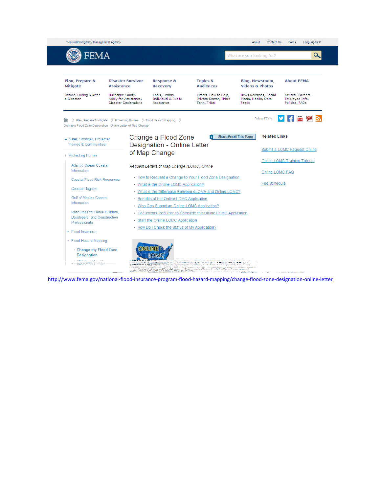

<http://www.fema.gov/national-flood-insurance-program-flood-hazard-mapping/change-flood-zone-designation-online-letter>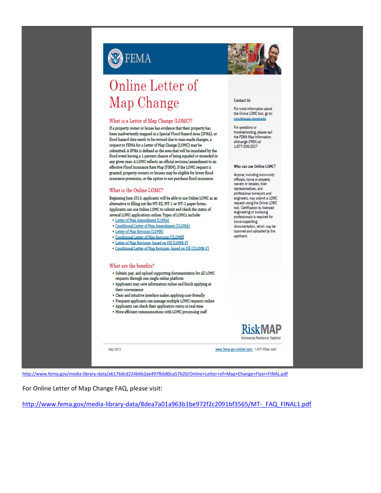

|  | Online Letter of |  |
|--|------------------|--|
|  | Map Change       |  |

## What is a Letter of Map Change (LOMC)?

If a property owner or lessee has evidence that their property has been inadvertently mapped in a Special Flood Hazard Area (SFHA), or flood hazard data needs to be revised due to man-made changes, a request to FEMA for a Letter of Map Change (LOMC) may be submitted. A SFHA is defined as the area that will be inundated by the flood event having a 1-percent chance of being equaled or exceeded in any given year. A LOMC reflects an official revision/amendment to an effective Flood Insurance Rate Map (FIRM). If the LOMC request is granted, property owners or lessees may be eligible for lower flood insurance premiums, or the option to not purchase flood insurance.

## What is the Online LOMC?

Beginning June 2013, applicants will be able to use Online LOMC as an alternative to filling out the MT-EZ, MT-1 or MT-2 paper forms. Applicants can use Online LOMC to submit and check the status of several LOMC applications online. Types of LOMCs include:

- Letter of Map Amendment (LOMA)
- · Conditional Letter of Map Amendment (CLOMA)
- Letter of Map Revision (LOMR)
- · Conditional Letter of Map Revision (CLOMR)
- · Letter of Map Revision- based on Fill (LOMR-F)
- · Conditional Letter of Map Revision- based on Fill (CLOMR-F)

### What are the benefits?

- · Submit, pay, and upload supporting documentation for all LOMC requests through one single online platform
- Applicants may save information online and finish applying at their convenience
- Clear and intuitive interface makes applying user-friendly
- · Frequent applicants can manage multiple LOMC requests online
- · Applicants can check their application status in real-time
- More efficient communications with LOMC processing staff

**May 2013** 



#### **Contact Us**

For more information about the Online LOMC tool, go to: WWW.fares

For questions or troubleshooting, please call<br>the FEMA Map Information eXchange (FMIX) at 1-877-336-2627

#### Who can use Online LOMC?

Anyone, including community officials, home or property owners or lessees, their representatives, and professional surveyors and engineers, may submit a LOMC request using the Online LOMC tool. Certification by licensed engineering or surveying professionals is required for .<br>some supporting documentation, which may be scanned and uploaded by the applicant



www.fema.gov/online-lomc 1-877-FEMA MAP

http://www.fema.gov/media-library-data/a6176dcd224b6b2ae497fbb80ca57b20/Online+Letter+of+Map+Change+Flyer+FINAL.pdf

For Online Letter of Map Change FAQ, please visit:

http://www.fema.gov/media-library-data/8dea7a01a963b1be972f2c2091bf3565/MT- FAQ FINAL1.pdf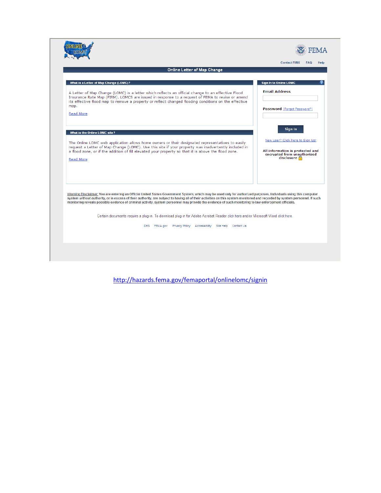|                                                                                                                                   |                                                                                                                                                                                                                                                                                                                                                                                                                                                                                                           | Online Letter of Map Change |                                                                                         |  |
|-----------------------------------------------------------------------------------------------------------------------------------|-----------------------------------------------------------------------------------------------------------------------------------------------------------------------------------------------------------------------------------------------------------------------------------------------------------------------------------------------------------------------------------------------------------------------------------------------------------------------------------------------------------|-----------------------------|-----------------------------------------------------------------------------------------|--|
|                                                                                                                                   |                                                                                                                                                                                                                                                                                                                                                                                                                                                                                                           |                             |                                                                                         |  |
| What is a Letter of Map Change (LOMC)?                                                                                            |                                                                                                                                                                                                                                                                                                                                                                                                                                                                                                           |                             | Sign In to Online LOMC                                                                  |  |
| map.<br>Read More                                                                                                                 | A Letter of Map Change (LOMC) is a letter which reflects an official change to an effective Flood<br>Insurance Rate Map (FIRM). LOMCS are issued in response to a request of FEMA to revise or amend<br>its effective flood map to remove a property or reflect changed flooding conditions on the effective                                                                                                                                                                                              |                             | <b>Email Address</b><br>Password (Forgot Password?)                                     |  |
| What is the Online LOMC site?<br>The Online LOMC web application allows home owners or their designated representatives to easily |                                                                                                                                                                                                                                                                                                                                                                                                                                                                                                           |                             | Sign In<br>New User? Click here to Sign Up!                                             |  |
| <b>Read More</b>                                                                                                                  | request a Letter of Map Change (LOMC). Use this site if your property was inadvertently included in<br>a flood zone, or if the addition of fill elevated your property so that it is above the flood zone.                                                                                                                                                                                                                                                                                                |                             | All information is protected and<br>encrypted from unauthorized<br>disclosure $\bigcap$ |  |
|                                                                                                                                   | Warning Disclaimer: You are entering an Official United States Government System, which may be used only for authorized purposes. Individuals using this computer<br>system without authority, or in excess of their authority, are subject to having all of their activities on this system monitored and recorded by system personnel. If such<br>monitoring reveals possible evidence of criminal activity, system personnel may provide the evidence of such monitoring to law enforcement officials. |                             |                                                                                         |  |
|                                                                                                                                   | Certain documents require a plug-in. To download plug-in for Adobe Acrobat Reader click here and/or Microsoft Word click here.                                                                                                                                                                                                                                                                                                                                                                            |                             |                                                                                         |  |

http://hazards.fema.gov/femaportal/onlinelomc/signin